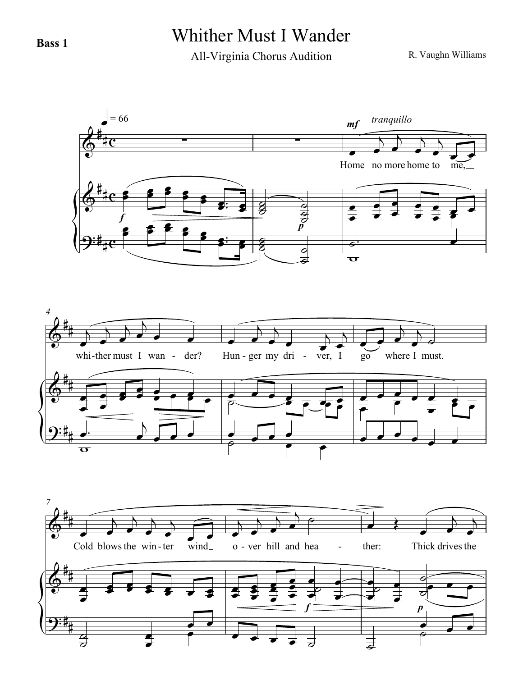## **Bass 1** Whither Must I Wander

All-Virginia Chorus Audition

R. Vaughn Williams